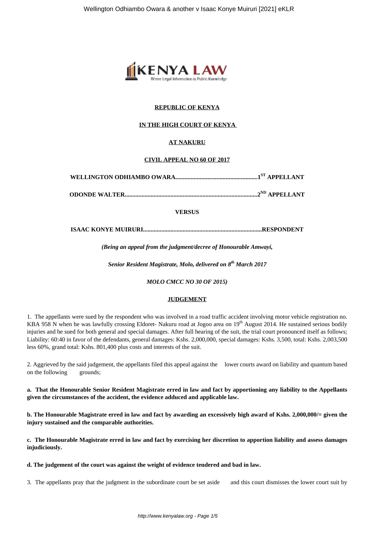

# **REPUBLIC OF KENYA**

# **IN THE HIGH COURT OF KENYA**

# **AT NAKURU**

#### **CIVIL APPEAL NO 60 OF 2017**

**WELLINGTON ODHIAMBO OWARA......................................................1ST APPELLANT**

**ODONDE WALTER.......................................................................................2ND APPELLANT**

# **VERSUS**

**ISAAC KONYE MUIRURI..............................................................................RESPONDENT**

*(Being an appeal from the judgment/decree of Honourable Amwayi,*

*Senior Resident Magistrate, Molo, delivered on 8th March 2017*

*MOLO CMCC NO 30 OF 2015)*

#### **JUDGEMENT**

1. The appellants were sued by the respondent who was involved in a road traffic accident involving motor vehicle registration no. KBA 958 N when he was lawfully crossing Eldoret- Nakuru road at Jogoo area on  $19<sup>th</sup>$  August 2014. He sustained serious bodily injuries and he sued for both general and special damages. After full hearing of the suit, the trial court pronounced itself as follows; Liability: 60:40 in favor of the defendants, general damages: Kshs. 2,000,000, special damages: Kshs. 3,500, total: Kshs. 2,003,500 less 60%, grand total: Kshs. 801,400 plus costs and interests of the suit.

2. Aggrieved by the said judgement, the appellants filed this appeal against the lower courts award on liability and quantum based on the following grounds;

**a. That the Honourable Senior Resident Magistrate erred in law and fact by apportioning any liability to the Appellants given the circumstances of the accident, the evidence adduced and applicable law.**

**b. The Honourable Magistrate erred in law and fact by awarding an excessively high award of Kshs. 2,000,000/= given the injury sustained and the comparable authorities.**

**c. The Honourable Magistrate erred in law and fact by exercising her discretion to apportion liability and assess damages injudiciously.**

**d. The judgement of the court was against the weight of evidence tendered and bad in law.**

3. The appellants pray that the judgment in the subordinate court be set aside and this court dismisses the lower court suit by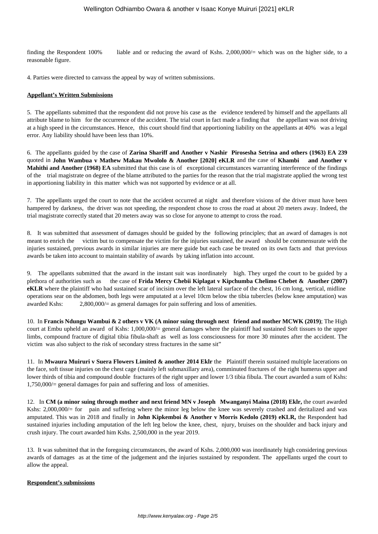finding the Respondent 100% liable and or reducing the award of Kshs. 2,000,000/= which was on the higher side, to a reasonable figure.

4. Parties were directed to canvass the appeal by way of written submissions.

#### **Appellant's Written Submissions**

5. The appellants submitted that the respondent did not prove his case as the evidence tendered by himself and the appellants all attribute blame to him for the occurrence of the accident. The trial court in fact made a finding that the appellant was not driving at a high speed in the circumstances. Hence, this court should find that apportioning liability on the appellants at 40% was a legal error. Any liability should have been less than 10%.

6. The appellants guided by the case of **Zarina Shariff and Another v Nashir Pirosesha Setrina and others (1963) EA 239** quoted in **John Wambua v Mathew Makau Mwololo & Another [2020] eKLR** and the case of **Khambi and Another v Mahithi and Another (1968) EA** submitted that this case is of exceptional circumstances warranting interference of the findings of the trial magistrate on degree of the blame attributed to the parties for the reason that the trial magistrate applied the wrong test in apportioning liability in this matter which was not supported by evidence or at all.

7. The appellants urged the court to note that the accident occurred at night and therefore visions of the driver must have been hampered by darkness, the driver was not speeding, the respondent chose to cross the road at about 20 meters away. Indeed, the trial magistrate correctly stated that 20 meters away was so close for anyone to attempt to cross the road.

8. It was submitted that assessment of damages should be guided by the following principles; that an award of damages is not meant to enrich the victim but to compensate the victim for the injuries sustained, the award should be commensurate with the injuries sustained, previous awards in similar injuries are mere guide but each case be treated on its own facts and that previous awards be taken into account to maintain stability of awards by taking inflation into account.

9. The appellants submitted that the award in the instant suit was inordinately high. They urged the court to be guided by a plethora of authorities such as the case of **Frida Mercy Chebii Kiplagat v Kipchumba Chelimo Chebet & Another (2007) eKLR** where the plaintiff who had sustained scar of incisim over the left lateral surface of the chest, 16 cm long, vertical, midline operations sear on the abdomen, both legs were amputated at a level 10cm below the tibia tubercles (below knee amputation) was awarded Kshs: 2,800,000/= as general damages for pain suffering and loss of amenities.

10. In **Francis Ndungu Wambui & 2 others v VK (A minor suing through next friend and mother MCWK (2019)**; The High court at Embu upheld an award of Kshs: 1,000,000/= general damages where the plaintiff had sustained Soft tissues to the upper limbs, compound fracture of digital tibia fibula-shaft as well as loss consciousness for more 30 minutes after the accident. The victim was also subject to the risk of secondary stress fractures in the same sit"

11. In **Mwaura Muiruri v Suera Flowers Limited & another 2014 Eklr** the Plaintiff therein sustained multiple lacerations on the face, soft tissue injuries on the chest cage (mainly left submaxillary area), comminuted fractures of the right humerus upper and lower thirds of tibia and compound double fractures of the right upper and lower 1/3 tibia fibula. The court awarded a sum of Kshs: 1,750,000/= general damages for pain and suffering and loss of amenities.

12. In **CM (a minor suing through mother and next friend MN v Joseph Mwanganyi Maina (2018) Eklr,** the court awarded Kshs: 2,000,000/= for pain and suffering where the minor leg below the knee was severely crashed and deritalized and was amputated. This was in 2018 and finally in **John Kipkemboi & Another v Morris Kedolo (2019) eKLR,** the Respondent had sustained injuries including amputation of the left leg below the knee, chest, njury, bruises on the shoulder and back injury and crush injury. The court awarded him Kshs. 2,500,000 in the year 2019.

13. It was submitted that in the foregoing circumstances, the award of Kshs. 2,000,000 was inordinately high considering previous awards of damages as at the time of the judgement and the injuries sustained by respondent. The appellants urged the court to allow the appeal.

#### **Respondent's submissions**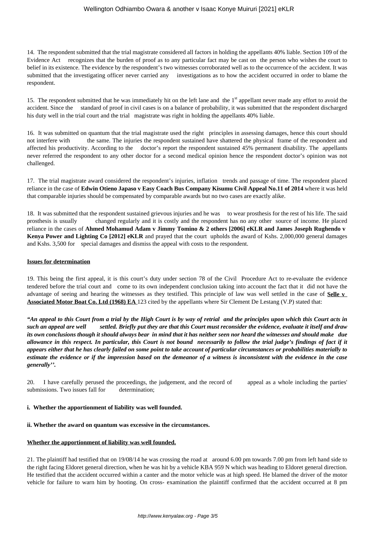# Wellington Odhiambo Owara & another v Isaac Konye Muiruri [2021] eKLR

14. The respondent submitted that the trial magistrate considered all factors in holding the appellants 40% liable. Section 109 of the Evidence Act recognizes that the burden of proof as to any particular fact may be cast on the person who wishes the court to belief in its existence. The evidence by the respondent's two witnesses corroborated well as to the occurrence of the accident. It was submitted that the investigating officer never carried any investigations as to how the accident occurred in order to blame the respondent.

15. The respondent submitted that he was immediately hit on the left lane and the 1<sup>st</sup> appellant never made any effort to avoid the accident. Since the standard of proof in civil cases is on a balance of probability, it was submitted that the respondent discharged his duty well in the trial court and the trial magistrate was right in holding the appellants 40% liable.

16. It was submitted on quantum that the trial magistrate used the right principles in assessing damages, hence this court should not interfere with the same. The injuries the respondent sustained have shattered the physical frame of the respondent and affected his productivity. According to the doctor's report the respondent sustained 45% permanent disability. The appellants never referred the respondent to any other doctor for a second medical opinion hence the respondent doctor's opinion was not challenged.

17. The trial magistrate award considered the respondent's injuries, inflation trends and passage of time. The respondent placed reliance in the case of **Edwin Otieno Japaso v Easy Coach Bus Company Kisumu Civil Appeal No.11 of 2014** where it was held that comparable injuries should be compensated by comparable awards but no two cases are exactly alike.

18. It was submitted that the respondent sustained grievous injuries and he was to wear prosthesis for the rest of his life. The said prosthesis is usually changed regularly and it is costly and the respondent has no any other source of income. He placed reliance in the cases of **Ahmed Mohamud Adam v Jimmy Tomino & 2 others [2006] eKLR and James Joseph Rughendo v Kenya Power and Lighting Co [2012] eKLR** and prayed that the court upholds the award of Kshs. 2,000,000 general damages and Kshs. 3,500 for special damages and dismiss the appeal with costs to the respondent.

#### **Issues for determination**

19. This being the first appeal, it is this court's duty under section 78 of the Civil Procedure Act to re-evaluate the evidence tendered before the trial court and come to its own independent conclusion taking into account the fact that it did not have the advantage of seeing and hearing the witnesses as they testified. This principle of law was well settled in the case of **Selle v Associated Motor Boat Co. Ltd (1968) EA** 123 cited by the appellants where Sir Clement De Lestang (V.P) stated that:

*"An appeal to this Court from a trial by the High Court is by way of retrial and the principles upon which this Court acts in such an appeal are well settled. Briefly put they are that this Court must reconsider the evidence, evaluate it itself and draw its own conclusions though it should always bear in mind that it has neither seen nor heard the witnesses and should make due allowance in this respect. In particular, this Court is not bound necessarily to follow the trial judge's findings of fact if it appears either that he has clearly failed on some point to take account of particular circumstances or probabilities materially to estimate the evidence or if the impression based on the demeanor of a witness is inconsistent with the evidence in the case generally''.*

20. I have carefully perused the proceedings, the judgement, and the record of appeal as a whole including the parties' submissions. Two issues fall for determination;

# **i. Whether the apportionment of liability was well founded.**

# **ii. Whether the award on quantum was excessive in the circumstances.**

# **Whether the apportionment of liability was well founded.**

21. The plaintiff had testified that on 19/08/14 he was crossing the road at around 6.00 pm towards 7.00 pm from left hand side to the right facing Eldoret general direction, when he was hit by a vehicle KBA 959 N which was heading to Eldoret general direction. He testified that the accident occurred within a canter and the motor vehicle was at high speed. He blamed the driver of the motor vehicle for failure to warn him by hooting. On cross- examination the plaintiff confirmed that the accident occurred at 8 pm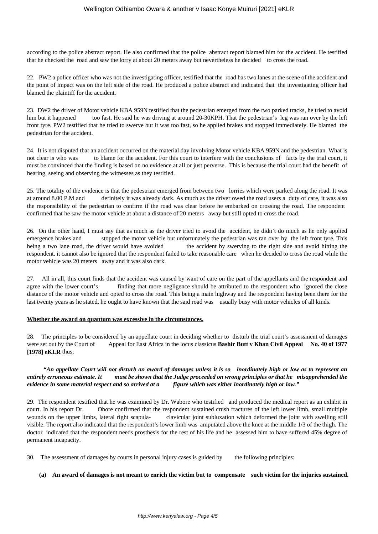according to the police abstract report. He also confirmed that the police abstract report blamed him for the accident. He testified that he checked the road and saw the lorry at about 20 meters away but nevertheless he decided to cross the road.

22. PW2 a police officer who was not the investigating officer, testified that the road has two lanes at the scene of the accident and the point of impact was on the left side of the road. He produced a police abstract and indicated that the investigating officer had blamed the plaintiff for the accident.

23. DW2 the driver of Motor vehicle KBA 959N testified that the pedestrian emerged from the two parked tracks, he tried to avoid him but it happened too fast. He said he was driving at around 20-30KPH. That the pedestrian's leg was ran over by the left front tyre. PW2 testified that he tried to swerve but it was too fast, so he applied brakes and stopped immediately. He blamed the pedestrian for the accident.

24. It is not disputed that an accident occurred on the material day involving Motor vehicle KBA 959N and the pedestrian. What is not clear is who was to blame for the accident. For this court to interfere with the conclusions of facts by the trial court, it must be convinced that the finding is based on no evidence at all or just perverse. This is because the trial court had the benefit of hearing, seeing and observing the witnesses as they testified.

25. The totality of the evidence is that the pedestrian emerged from between two lorries which were parked along the road. It was at around 8.00 P.M and definitely it was already dark. As much as the driver owed the road users a duty of care, it was also the responsibility of the pedestrian to confirm if the road was clear before he embarked on crossing the road. The respondent confirmed that he saw the motor vehicle at about a distance of 20 meters away but still opted to cross the road.

26. On the other hand, I must say that as much as the driver tried to avoid the accident, he didn't do much as he only applied emergence brakes and stopped the motor vehicle but unfortunately the pedestrian was ran over by the left front tyre. This being a two lane road, the driver would have avoided the accident by swerving to the right side and avoid hitting the respondent. it cannot also be ignored that the respondent failed to take reasonable care when he decided to cross the road while the motor vehicle was 20 meters away and it was also dark.

27. All in all, this court finds that the accident was caused by want of care on the part of the appellants and the respondent and agree with the lower court's finding that more negligence should be attributed to the respondent who ignored the close distance of the motor vehicle and opted to cross the road. This being a main highway and the respondent having been there for the last twenty years as he stated, he ought to have known that the said road was usually busy with motor vehicles of all kinds.

# **Whether the award on quantum was excessive in the circumstances.**

28. The principles to be considered by an appellate court in deciding whether to disturb the trial court's assessment of damages were set out by the Court of Appeal for East Africa in the locus classicus **Bashir Butt v Khan Civil Appeal** No. 40 of 1977 **[1978] eKLR** thus;

# *"An appellate Court will not disturb an award of damages unless it is so inordinately high or low as to represent an entirely erroneous estimate. It must be shown that the Judge proceeded on wrong principles or that he misapprehended the evidence in some material respect and so arrived at a figure which was either inordinately high or low."*

29. The respondent testified that he was examined by Dr. Wabore who testified and produced the medical report as an exhibit in court. In his report Dr. Obore confirmed that the respondent sustained crush fractures of the left lower limb, small multiple wounds on the upper limbs, lateral right scapula- clavicular joint subluxation which deformed the joint with swelling still visible. The report also indicated that the respondent's lower limb was amputated above the knee at the middle 1/3 of the thigh. The doctor indicated that the respondent needs prosthesis for the rest of his life and he assessed him to have suffered 45% degree of permanent incapacity.

30. The assessment of damages by courts in personal injury cases is guided by the following principles:

# **(a) An award of damages is not meant to enrich the victim but to compensate such victim for the injuries sustained.**